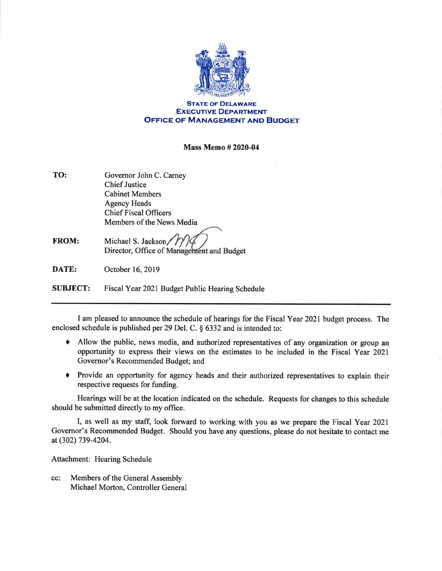

STATE OF DELAWARE EXECUTIvE DEPARTMENT **OFFICE OF MANAGEMENT AND BUDGET** 

## Mass Memo#2020-04

- TO: Governor John C. Carney Chief Justice Cabinet Members Agency Heads Chief Fiscal Officers Members of the News Media
- FROM: Michael S. Jackson Director, Office of Management and Budget

DATE: October 16,2019

SUBJECT: Fiscal Year 2021 Budget Public Hearing Schedule

I am pleased to announce the schedule of hearings for the Fiscal Year 2021 budget process. The enclosed schedule is published per 29 Del. C. § 6332 and is intended to:

- $\bullet$  Allow the public, news media, and authorized representatives of any organization or group an opportunity to express their views on the estimates to be included in the Fiscal Year 2021 Governor's Recommended Budget; and
- Provide an opportunity for agency heads and their authorized representatives to explain their respective requests for funding.

Hearings will be at the location indicated on the schedule. Requests for changes to this schedule should be submitted directly to my office.

I, as well as my staff, look forward to working with you as we prepare the Fiscal Year 2021 Governor's Recommended Budget. Should you have any questions, please do not hesitate to contact me at (302) 739-4204.

Attachment: Hearing Schedule

Members of the General Assembly Michael Morton, Controller General cc: